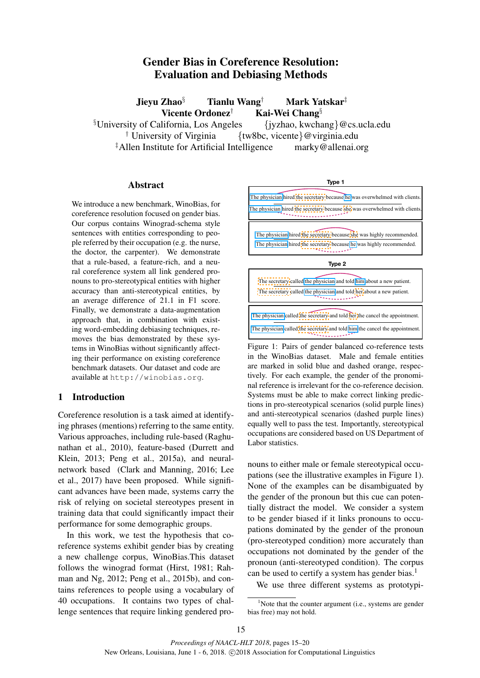# Gender Bias in Coreference Resolution: Evaluation and Debiasing Methods

Jieyu Zhao§ Tianlu Wang† Mark Yatskar‡ Vicente Ordonez<sup>†</sup> Kai-Wei Chang<sup>§</sup>

<sup>§</sup>University of California, Los Angeles {jyzhao, kwchang}@cs.ucla.edu<br>
<sup>†</sup> University of Virginia {tw8bc, vicente}@virginia.edu  ${\text{tw8bc, vicente}} @~\text{virginia.edu}$ <br>telligence marky@allenai.org  $\ddagger$ Allen Institute for Artificial Intelligence

# Abstract

We introduce a new benchmark, WinoBias, for coreference resolution focused on gender bias. Our corpus contains Winograd-schema style sentences with entities corresponding to people referred by their occupation (e.g. the nurse, the doctor, the carpenter). We demonstrate that a rule-based, a feature-rich, and a neural coreference system all link gendered pronouns to pro-stereotypical entities with higher accuracy than anti-stereotypical entities, by an average difference of 21.1 in F1 score. Finally, we demonstrate a data-augmentation approach that, in combination with existing word-embedding debiasing techniques, removes the bias demonstrated by these systems in WinoBias without significantly affecting their performance on existing coreference benchmark datasets. Our dataset and code are available at http://winobias.org.

# 1 Introduction

Coreference resolution is a task aimed at identifying phrases (mentions) referring to the same entity. Various approaches, including rule-based (Raghunathan et al., 2010), feature-based (Durrett and Klein, 2013; Peng et al., 2015a), and neuralnetwork based (Clark and Manning, 2016; Lee et al., 2017) have been proposed. While significant advances have been made, systems carry the risk of relying on societal stereotypes present in training data that could significantly impact their performance for some demographic groups.

In this work, we test the hypothesis that coreference systems exhibit gender bias by creating a new challenge corpus, WinoBias.This dataset follows the winograd format (Hirst, 1981; Rahman and Ng, 2012; Peng et al., 2015b), and contains references to people using a vocabulary of 40 occupations. It contains two types of challenge sentences that require linking gendered pro-

#### **Type 1**

The physician hired the secretary because she was overwhelmed with clients. The physician hired the secretary because he was overwhelmed with clients.

The physician hired the secretary because she was highly recommended. The physician hired the secretary because he was highly recommended.

**Type 2**

| The secretary called the physician and told him about a new patient.<br>The secretary called the physician and told her about a new patient.               |  |
|------------------------------------------------------------------------------------------------------------------------------------------------------------|--|
| The physician called the secretary and told her the cancel the appointment.<br>The physician called the secretary and told him the cancel the appointment. |  |

Figure 1: Pairs of gender balanced co-reference tests in the WinoBias dataset. Male and female entities are marked in solid blue and dashed orange, respectively. For each example, the gender of the pronominal reference is irrelevant for the co-reference decision. Systems must be able to make correct linking predictions in pro-stereotypical scenarios (solid purple lines) and anti-stereotypical scenarios (dashed purple lines) equally well to pass the test. Importantly, stereotypical occupations are considered based on US Department of Labor statistics.

nouns to either male or female stereotypical occupations (see the illustrative examples in Figure 1). None of the examples can be disambiguated by the gender of the pronoun but this cue can potentially distract the model. We consider a system to be gender biased if it links pronouns to occupations dominated by the gender of the pronoun (pro-stereotyped condition) more accurately than occupations not dominated by the gender of the pronoun (anti-stereotyped condition). The corpus can be used to certify a system has gender bias.<sup>1</sup>

We use three different systems as prototypi-

<sup>&</sup>lt;sup>1</sup>Note that the counter argument (i.e., systems are gender bias free) may not hold.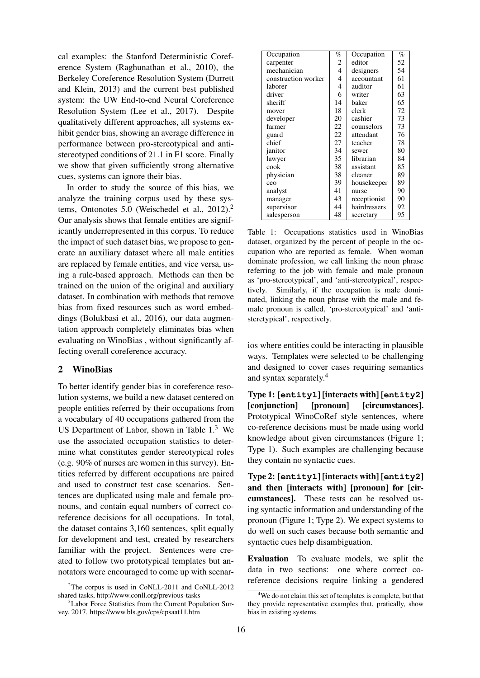cal examples: the Stanford Deterministic Coreference System (Raghunathan et al., 2010), the Berkeley Coreference Resolution System (Durrett and Klein, 2013) and the current best published system: the UW End-to-end Neural Coreference Resolution System (Lee et al., 2017). Despite qualitatively different approaches, all systems exhibit gender bias, showing an average difference in performance between pro-stereotypical and antistereotyped conditions of 21.1 in F1 score. Finally we show that given sufficiently strong alternative cues, systems can ignore their bias.

In order to study the source of this bias, we analyze the training corpus used by these systems, Ontonotes 5.0 (Weischedel et al., 2012).<sup>2</sup> Our analysis shows that female entities are significantly underrepresented in this corpus. To reduce the impact of such dataset bias, we propose to generate an auxiliary dataset where all male entities are replaced by female entities, and vice versa, using a rule-based approach. Methods can then be trained on the union of the original and auxiliary dataset. In combination with methods that remove bias from fixed resources such as word embeddings (Bolukbasi et al., 2016), our data augmentation approach completely eliminates bias when evaluating on WinoBias , without significantly affecting overall coreference accuracy.

# 2 WinoBias

To better identify gender bias in coreference resolution systems, we build a new dataset centered on people entities referred by their occupations from a vocabulary of 40 occupations gathered from the US Department of Labor, shown in Table 1.<sup>3</sup> We use the associated occupation statistics to determine what constitutes gender stereotypical roles (e.g. 90% of nurses are women in this survey). Entities referred by different occupations are paired and used to construct test case scenarios. Sentences are duplicated using male and female pronouns, and contain equal numbers of correct coreference decisions for all occupations. In total, the dataset contains 3,160 sentences, split equally for development and test, created by researchers familiar with the project. Sentences were created to follow two prototypical templates but annotators were encouraged to come up with scenar-

| Occupation          | %  | Occupation   | $\%$            |
|---------------------|----|--------------|-----------------|
| carpenter           | 2  | editor       | $\overline{52}$ |
| mechanician         | 4  | designers    | 54              |
| construction worker | 4  | accountant   | 61              |
| laborer             | 4  | auditor      | 61              |
| driver              | 6  | writer       | 63              |
| sheriff             | 14 | baker        | 65              |
| mover               | 18 | clerk        | 72              |
| developer           | 20 | cashier      | 73              |
| farmer              | 22 | counselors   | 73              |
| guard               | 22 | attendant    | 76              |
| chief               | 27 | teacher      | 78              |
| janitor             | 34 | sewer        | 80              |
| lawyer              | 35 | librarian    | 84              |
| cook                | 38 | assistant    | 85              |
| physician           | 38 | cleaner      | 89              |
| ceo                 | 39 | housekeeper  | 89              |
| analyst             | 41 | nurse        | 90              |
| manager             | 43 | receptionist | 90              |
| supervisor          | 44 | hairdressers | 92              |
| salesperson         | 48 | secretary    | 95              |

Table 1: Occupations statistics used in WinoBias dataset, organized by the percent of people in the occupation who are reported as female. When woman dominate profession, we call linking the noun phrase referring to the job with female and male pronoun as 'pro-stereotypical', and 'anti-stereotypical', respectively. Similarly, if the occupation is male dominated, linking the noun phrase with the male and female pronoun is called, 'pro-stereotypical' and 'antisteretypical', respectively.

ios where entities could be interacting in plausible ways. Templates were selected to be challenging and designed to cover cases requiring semantics and syntax separately.<sup>4</sup>

Type 1: [**entity1**] [interacts with] [**entity2**] [conjunction] [pronoun] [circumstances]. Prototypical WinoCoRef style sentences, where co-reference decisions must be made using world knowledge about given circumstances (Figure 1; Type 1). Such examples are challenging because they contain no syntactic cues.

Type 2: [**entity1**] [interacts with] [**entity2**] and then [interacts with] [pronoun] for [circumstances]. These tests can be resolved using syntactic information and understanding of the pronoun (Figure 1; Type 2). We expect systems to do well on such cases because both semantic and syntactic cues help disambiguation.

Evaluation To evaluate models, we split the data in two sections: one where correct coreference decisions require linking a gendered

<sup>2</sup>The corpus is used in CoNLL-2011 and CoNLL-2012 shared tasks, http://www.conll.org/previous-tasks

<sup>&</sup>lt;sup>3</sup>Labor Force Statistics from the Current Population Survey, 2017. https://www.bls.gov/cps/cpsaat11.htm

<sup>&</sup>lt;sup>4</sup>We do not claim this set of templates is complete, but that they provide representative examples that, pratically, show bias in existing systems.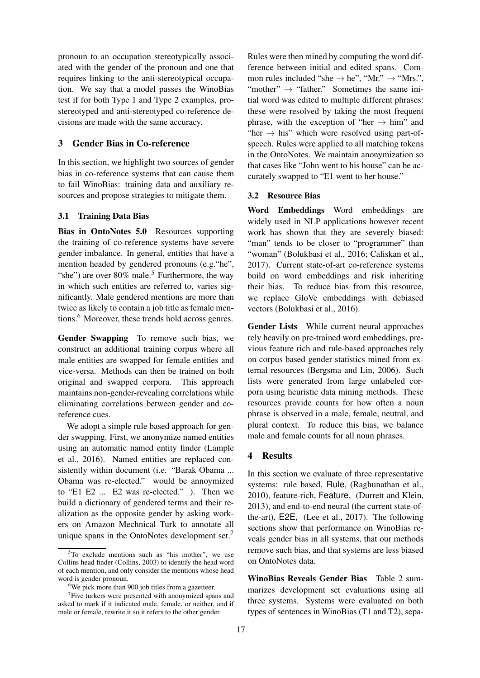pronoun to an occupation stereotypically associated with the gender of the pronoun and one that requires linking to the anti-stereotypical occupation. We say that a model passes the WinoBias test if for both Type 1 and Type 2 examples, prostereotyped and anti-stereotyped co-reference decisions are made with the same accuracy.

### 3 Gender Bias in Co-reference

In this section, we highlight two sources of gender bias in co-reference systems that can cause them to fail WinoBias: training data and auxiliary resources and propose strategies to mitigate them.

### 3.1 Training Data Bias

Bias in OntoNotes 5.0 Resources supporting the training of co-reference systems have severe gender imbalance. In general, entities that have a mention headed by gendered pronouns (e.g."he", "she") are over  $80\%$  male.<sup>5</sup> Furthermore, the way in which such entities are referred to, varies significantly. Male gendered mentions are more than twice as likely to contain a job title as female mentions.<sup>6</sup> Moreover, these trends hold across genres.

Gender Swapping To remove such bias, we construct an additional training corpus where all male entities are swapped for female entities and vice-versa. Methods can then be trained on both original and swapped corpora. This approach maintains non-gender-revealing correlations while eliminating correlations between gender and coreference cues.

We adopt a simple rule based approach for gender swapping. First, we anonymize named entities using an automatic named entity finder (Lample et al., 2016). Named entities are replaced consistently within document (i.e. "Barak Obama ... Obama was re-elected." would be annoymized to "E1 E2 ... E2 was re-elected." ). Then we build a dictionary of gendered terms and their realization as the opposite gender by asking workers on Amazon Mechnical Turk to annotate all unique spans in the OntoNotes development set.<sup>7</sup>

Rules were then mined by computing the word difference between initial and edited spans. Common rules included "she  $\rightarrow$  he", "Mr."  $\rightarrow$  "Mrs.", "mother"  $\rightarrow$  "father." Sometimes the same initial word was edited to multiple different phrases: these were resolved by taking the most frequent phrase, with the exception of "her  $\rightarrow$  him" and "her  $\rightarrow$  his" which were resolved using part-ofspeech. Rules were applied to all matching tokens in the OntoNotes. We maintain anonymization so that cases like "John went to his house" can be accurately swapped to "E1 went to her house."

#### 3.2 Resource Bias

Word Embeddings Word embeddings are widely used in NLP applications however recent work has shown that they are severely biased: "man" tends to be closer to "programmer" than "woman" (Bolukbasi et al., 2016; Caliskan et al., 2017). Current state-of-art co-reference systems build on word embeddings and risk inheriting their bias. To reduce bias from this resource, we replace GloVe embeddings with debiased vectors (Bolukbasi et al., 2016).

Gender Lists While current neural approaches rely heavily on pre-trained word embeddings, previous feature rich and rule-based approaches rely on corpus based gender statistics mined from external resources (Bergsma and Lin, 2006). Such lists were generated from large unlabeled corpora using heuristic data mining methods. These resources provide counts for how often a noun phrase is observed in a male, female, neutral, and plural context. To reduce this bias, we balance male and female counts for all noun phrases.

# 4 Results

In this section we evaluate of three representative systems: rule based, Rule, (Raghunathan et al., 2010), feature-rich, Feature, (Durrett and Klein, 2013), and end-to-end neural (the current state-ofthe-art), E2E, (Lee et al., 2017). The following sections show that performance on WinoBias reveals gender bias in all systems, that our methods remove such bias, and that systems are less biased on OntoNotes data.

WinoBias Reveals Gender Bias Table 2 summarizes development set evaluations using all three systems. Systems were evaluated on both types of sentences in WinoBias (T1 and T2), sepa-

 $5T_0$  exclude mentions such as "his mother", we use Collins head finder (Collins, 2003) to identify the head word of each mention, and only consider the mentions whose head word is gender pronoun.

<sup>&</sup>lt;sup>6</sup>We pick more than 900 job titles from a gazetteer.

<sup>&</sup>lt;sup>7</sup>Five turkers were presented with anonymized spans and asked to mark if it indicated male, female, or neither, and if male or female, rewrite it so it refers to the other gender.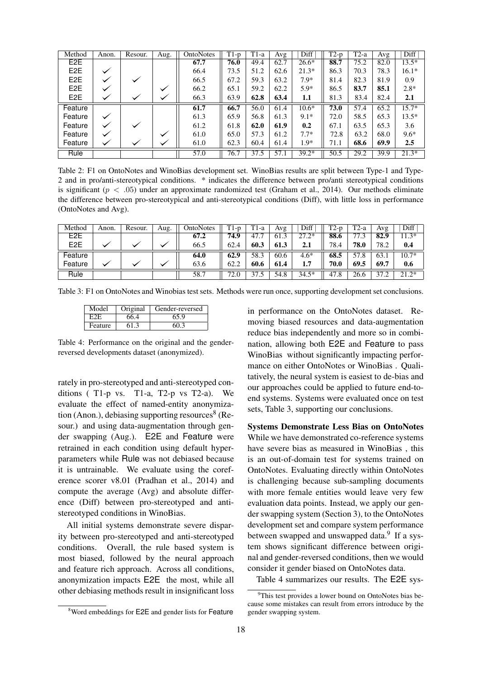| Method           | Anon.        | Resour. | Aug. | OntoNotes | $T1-p$ | $T1-a$ | Avg               | Diff    | $T2-p$ | T2-a | Avg  | Diff    |
|------------------|--------------|---------|------|-----------|--------|--------|-------------------|---------|--------|------|------|---------|
| E <sub>2</sub> E |              |         |      | 67.7      | 76.0   | 49.4   | 62.7              | $26.6*$ | 88.7   | 75.2 | 82.0 | $13.5*$ |
| E <sub>2</sub> E |              |         |      | 66.4      | 73.5   | 51.2   | 62.6              | $21.3*$ | 86.3   | 70.3 | 78.3 | $16.1*$ |
| E <sub>2</sub> E |              |         |      | 66.5      | 67.2   | 59.3   | 63.2              | $7.9*$  | 81.4   | 82.3 | 81.9 | 0.9     |
| E <sub>2</sub> E |              |         |      | 66.2      | 65.1   | 59.2   | 62.2              | $5.9*$  | 86.5   | 83.7 | 85.1 | $2.8*$  |
| E <sub>2</sub> E |              |         |      | 66.3      | 63.9   | 62.8   | 63.4              | 1.1     | 81.3   | 83.4 | 82.4 | 2.1     |
| Feature          |              |         |      | 61.7      | 66.7   | 56.0   | 61.4              | $10.6*$ | 73.0   | 57.4 | 65.2 | $15.7*$ |
| Feature          | $\checkmark$ |         |      | 61.3      | 65.9   | 56.8   | 61.3              | $9.1*$  | 72.0   | 58.5 | 65.3 | $13.5*$ |
| Feature          |              |         |      | 61.2      | 61.8   | 62.0   | 61.9              | 0.2     | 67.1   | 63.5 | 65.3 | 3.6     |
| Feature          | ✓            |         |      | 61.0      | 65.0   | 57.3   | 61.2              | $7.7*$  | 72.8   | 63.2 | 68.0 | $9.6*$  |
| Feature          |              |         |      | 61.0      | 62.3   | 60.4   | 61.4              | $1.9*$  | 71.1   | 68.6 | 69.9 | 2.5     |
| Rule             |              |         |      | 57.0      | 76.7   | 37.5   | $\overline{57.1}$ | $39.2*$ | 50.5   | 29.2 | 39.9 | $21.3*$ |

Table 2: F1 on OntoNotes and WinoBias development set. WinoBias results are split between Type-1 and Type-2 and in pro/anti-stereotypical conditions. \* indicates the difference between pro/anti stereotypical conditions is significant ( $p < .05$ ) under an approximate randomized test (Graham et al., 2014). Our methods eliminate the difference between pro-stereotypical and anti-stereotypical conditions (Diff), with little loss in performance (OntoNotes and Avg).

| Method           | Anon. | Resour. | Aug. | OntoNotes | $T1-p$     | $T1-a$ | Avg  | Diff            | ™<br>2-p | $T^{\prime}$<br><sup>-2-a</sup> | Avg  | Diff    |
|------------------|-------|---------|------|-----------|------------|--------|------|-----------------|----------|---------------------------------|------|---------|
| E <sub>2</sub> E |       |         |      | 67.2      | 74.9       | 47.    | 61.3 | 27<br>$^{0.2*}$ | 88.6     | ت د                             | 82.9 | $1.3*$  |
| E <sub>2</sub> E |       |         |      | 66.5      | 62.4       | 60.3   | 61.3 | 2.1             | 78.4     | 78.0                            | 78.2 | 0.4     |
| Feature          |       |         |      | 64.0      | 62.9       | 58.3   | 60.6 | $4.6*$          | 68.5     | cπ<br>8.'                       | 63.  | $10.7*$ |
| Feature          |       |         |      | 63.6      | 62.2       | 60.6   | 61.4 | 17<br>1.1       | 70.0     | 69.5                            | 69.7 | 0.6     |
| Rule             |       |         |      | 58.7      | 77<br>'2.U | $\sim$ | 54.8 | $34.5*$         | 47.8     | 26.6                            | 37.2 | $21.2*$ |

Table 3: F1 on OntoNotes and Winobias test sets. Methods were run once, supporting development set conclusions.

| Model   | Original | Gender-reversed |
|---------|----------|-----------------|
|         | 66.4     | 65.9            |
| Feature | 613      | ናበ 3            |

Table 4: Performance on the original and the genderreversed developments dataset (anonymized).

rately in pro-stereotyped and anti-stereotyped conditions  $(T1-p \text{ vs. } T1-a, T2-p \text{ vs. } T2-a)$ . We evaluate the effect of named-entity anonymization (Anon.), debiasing supporting resources $8$  (Resour.) and using data-augmentation through gender swapping (Aug.). E2E and Feature were retrained in each condition using default hyperparameters while Rule was not debiased because it is untrainable. We evaluate using the coreference scorer v8.01 (Pradhan et al., 2014) and compute the average (Avg) and absolute difference (Diff) between pro-stereotyped and antistereotyped conditions in WinoBias.

All initial systems demonstrate severe disparity between pro-stereotyped and anti-stereotyped conditions. Overall, the rule based system is most biased, followed by the neural approach and feature rich approach. Across all conditions, anonymization impacts E2E the most, while all other debiasing methods result in insignificant loss in performance on the OntoNotes dataset. Removing biased resources and data-augmentation reduce bias independently and more so in combination, allowing both E2E and Feature to pass WinoBias without significantly impacting performance on either OntoNotes or WinoBias . Qualitatively, the neural system is easiest to de-bias and our approaches could be applied to future end-toend systems. Systems were evaluated once on test sets, Table 3, supporting our conclusions.

Systems Demonstrate Less Bias on OntoNotes While we have demonstrated co-reference systems have severe bias as measured in WinoBias , this is an out-of-domain test for systems trained on OntoNotes. Evaluating directly within OntoNotes is challenging because sub-sampling documents with more female entities would leave very few evaluation data points. Instead, we apply our gender swapping system (Section 3), to the OntoNotes development set and compare system performance between swapped and unswapped data.<sup>9</sup> If a system shows significant difference between original and gender-reversed conditions, then we would consider it gender biased on OntoNotes data.

Table 4 summarizes our results. The E2E sys-

<sup>8</sup>Word embeddings for E2E and gender lists for Feature

<sup>&</sup>lt;sup>9</sup>This test provides a lower bound on OntoNotes bias because some mistakes can result from errors introduce by the gender swapping system.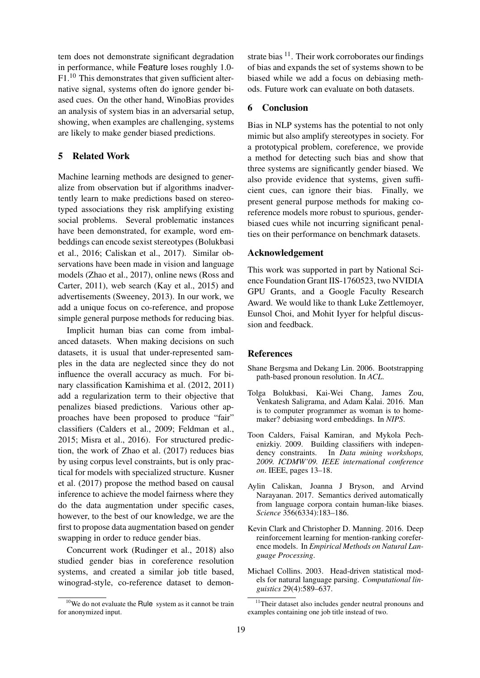tem does not demonstrate significant degradation in performance, while Feature loses roughly 1.0- F1.<sup>10</sup> This demonstrates that given sufficient alternative signal, systems often do ignore gender biased cues. On the other hand, WinoBias provides an analysis of system bias in an adversarial setup, showing, when examples are challenging, systems are likely to make gender biased predictions.

# 5 Related Work

Machine learning methods are designed to generalize from observation but if algorithms inadvertently learn to make predictions based on stereotyped associations they risk amplifying existing social problems. Several problematic instances have been demonstrated, for example, word embeddings can encode sexist stereotypes (Bolukbasi et al., 2016; Caliskan et al., 2017). Similar observations have been made in vision and language models (Zhao et al., 2017), online news (Ross and Carter, 2011), web search (Kay et al., 2015) and advertisements (Sweeney, 2013). In our work, we add a unique focus on co-reference, and propose simple general purpose methods for reducing bias.

Implicit human bias can come from imbalanced datasets. When making decisions on such datasets, it is usual that under-represented samples in the data are neglected since they do not influence the overall accuracy as much. For binary classification Kamishima et al. (2012, 2011) add a regularization term to their objective that penalizes biased predictions. Various other approaches have been proposed to produce "fair" classifiers (Calders et al., 2009; Feldman et al., 2015; Misra et al., 2016). For structured prediction, the work of Zhao et al. (2017) reduces bias by using corpus level constraints, but is only practical for models with specialized structure. Kusner et al. (2017) propose the method based on causal inference to achieve the model fairness where they do the data augmentation under specific cases, however, to the best of our knowledge, we are the first to propose data augmentation based on gender swapping in order to reduce gender bias.

Concurrent work (Rudinger et al., 2018) also studied gender bias in coreference resolution systems, and created a similar job title based, winograd-style, co-reference dataset to demon-

strate bias  $^{11}$ . Their work corroborates our findings of bias and expands the set of systems shown to be biased while we add a focus on debiasing methods. Future work can evaluate on both datasets.

# 6 Conclusion

Bias in NLP systems has the potential to not only mimic but also amplify stereotypes in society. For a prototypical problem, coreference, we provide a method for detecting such bias and show that three systems are significantly gender biased. We also provide evidence that systems, given sufficient cues, can ignore their bias. Finally, we present general purpose methods for making coreference models more robust to spurious, genderbiased cues while not incurring significant penalties on their performance on benchmark datasets.

# Acknowledgement

This work was supported in part by National Science Foundation Grant IIS-1760523, two NVIDIA GPU Grants, and a Google Faculty Research Award. We would like to thank Luke Zettlemoyer, Eunsol Choi, and Mohit Iyyer for helpful discussion and feedback.

#### References

- Shane Bergsma and Dekang Lin. 2006. Bootstrapping path-based pronoun resolution. In *ACL*.
- Tolga Bolukbasi, Kai-Wei Chang, James Zou, Venkatesh Saligrama, and Adam Kalai. 2016. Man is to computer programmer as woman is to homemaker? debiasing word embeddings. In *NIPS*.
- Toon Calders, Faisal Kamiran, and Mykola Pechenizkiy. 2009. Building classifiers with independency constraints. In *Data mining workshops, 2009. ICDMW'09. IEEE international conference on*. IEEE, pages 13–18.
- Aylin Caliskan, Joanna J Bryson, and Arvind Narayanan. 2017. Semantics derived automatically from language corpora contain human-like biases. *Science* 356(6334):183–186.
- Kevin Clark and Christopher D. Manning. 2016. Deep reinforcement learning for mention-ranking coreference models. In *Empirical Methods on Natural Language Processing*.
- Michael Collins. 2003. Head-driven statistical models for natural language parsing. *Computational linguistics* 29(4):589–637.

 $10$ We do not evaluate the Rule system as it cannot be train for anonymized input.

<sup>&</sup>lt;sup>11</sup>Their dataset also includes gender neutral pronouns and examples containing one job title instead of two.